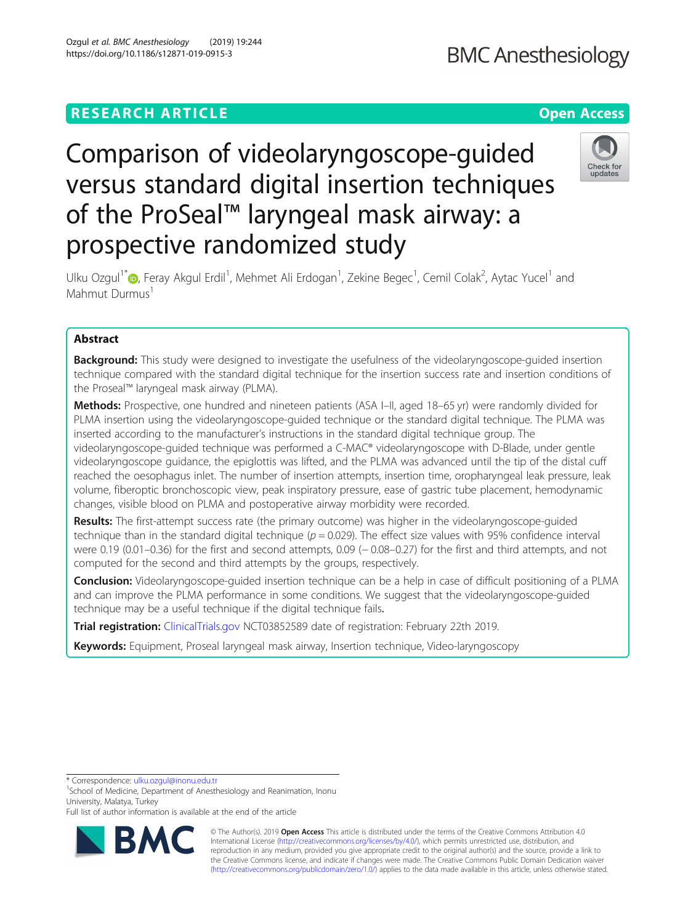## **RESEARCH ARTICLE Example 2014 12:30 The Contract of Contract ACCESS**

# **BMC Anesthesiology**

# Check for updates

prospective randomized study Ulku Ozgul<sup>1[\\*](http://orcid.org/0000-0003-3738-1751)</sup>iD, Feray Akgul Erdil<sup>1</sup>, Mehmet Ali Erdogan<sup>1</sup>, Zekine Begec<sup>1</sup>, Cemil Colak<sup>2</sup>, Aytac Yucel<sup>1</sup> and Mahmut Durmus<sup>1</sup>

Comparison of videolaryngoscope-guided

of the ProSeal™ laryngeal mask airway: a

versus standard digital insertion techniques

### Abstract

Background: This study were designed to investigate the usefulness of the videolaryngoscope-guided insertion technique compared with the standard digital technique for the insertion success rate and insertion conditions of the Proseal™ laryngeal mask airway (PLMA).

Methods: Prospective, one hundred and nineteen patients (ASA I–II, aged 18–65 yr) were randomly divided for PLMA insertion using the videolaryngoscope-guided technique or the standard digital technique. The PLMA was inserted according to the manufacturer's instructions in the standard digital technique group. The videolaryngoscope-guided technique was performed a C-MAC® videolaryngoscope with D-Blade, under gentle videolaryngoscope guidance, the epiglottis was lifted, and the PLMA was advanced until the tip of the distal cuff reached the oesophagus inlet. The number of insertion attempts, insertion time, oropharyngeal leak pressure, leak volume, fiberoptic bronchoscopic view, peak inspiratory pressure, ease of gastric tube placement, hemodynamic changes, visible blood on PLMA and postoperative airway morbidity were recorded.

Results: The first-attempt success rate (the primary outcome) was higher in the videolaryngoscope-guided technique than in the standard digital technique ( $p = 0.029$ ). The effect size values with 95% confidence interval were 0.19 (0.01–0.36) for the first and second attempts, 0.09 (−0.08–0.27) for the first and third attempts, and not computed for the second and third attempts by the groups, respectively.

**Conclusion:** Videolaryngoscope-guided insertion technique can be a help in case of difficult positioning of a PLMA and can improve the PLMA performance in some conditions. We suggest that the videolaryngoscope-guided technique may be a useful technique if the digital technique fails.

Trial registration: [ClinicalTrials.gov](http://clinicaltrials.gov) NCT03852589 date of registration: February 22th 2019.

Keywords: Equipment, Proseal laryngeal mask airway, Insertion technique, Video-laryngoscopy

<sup>1</sup>School of Medicine, Department of Anesthesiology and Reanimation, Inonu University, Malatya, Turkey

Full list of author information is available at the end of the article



© The Author(s). 2019 **Open Access** This article is distributed under the terms of the Creative Commons Attribution 4.0 International License [\(http://creativecommons.org/licenses/by/4.0/](http://creativecommons.org/licenses/by/4.0/)), which permits unrestricted use, distribution, and reproduction in any medium, provided you give appropriate credit to the original author(s) and the source, provide a link to the Creative Commons license, and indicate if changes were made. The Creative Commons Public Domain Dedication waiver [\(http://creativecommons.org/publicdomain/zero/1.0/](http://creativecommons.org/publicdomain/zero/1.0/)) applies to the data made available in this article, unless otherwise stated.

<sup>\*</sup> Correspondence: [ulku.ozgul@inonu.edu.tr](mailto:ulku.ozgul@inonu.edu.tr) <sup>1</sup>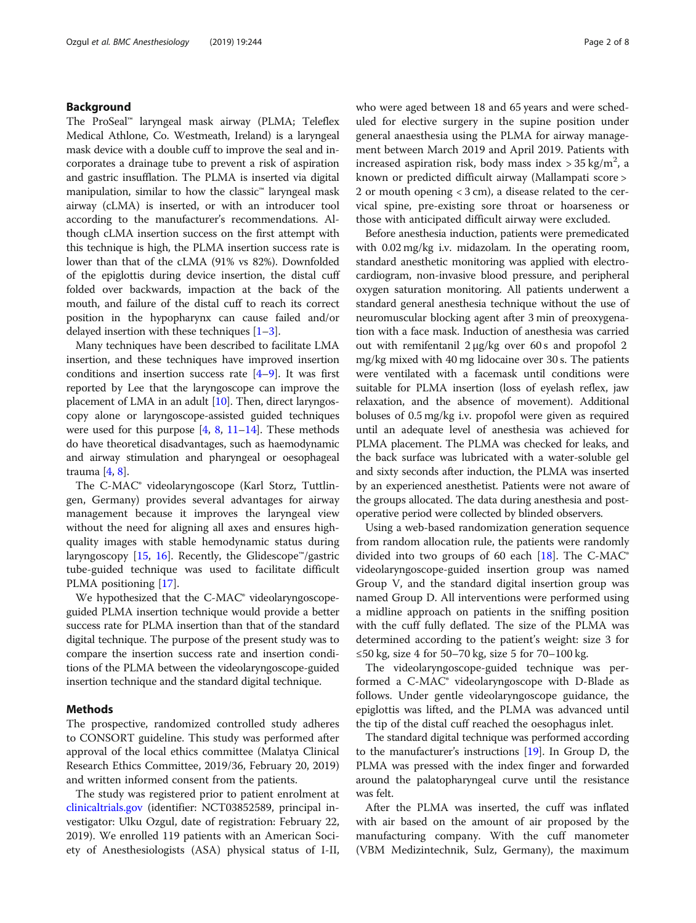#### Background

The ProSeal™ laryngeal mask airway (PLMA; Teleflex Medical Athlone, Co. Westmeath, Ireland) is a laryngeal mask device with a double cuff to improve the seal and incorporates a drainage tube to prevent a risk of aspiration and gastric insufflation. The PLMA is inserted via digital manipulation, similar to how the classic™ laryngeal mask airway (cLMA) is inserted, or with an introducer tool according to the manufacturer's recommendations. Although cLMA insertion success on the first attempt with this technique is high, the PLMA insertion success rate is lower than that of the cLMA (91% vs 82%). Downfolded of the epiglottis during device insertion, the distal cuff folded over backwards, impaction at the back of the mouth, and failure of the distal cuff to reach its correct position in the hypopharynx can cause failed and/or delayed insertion with these techniques  $[1-3]$  $[1-3]$  $[1-3]$ .

Many techniques have been described to facilitate LMA insertion, and these techniques have improved insertion conditions and insertion success rate  $[4-9]$  $[4-9]$  $[4-9]$ . It was first reported by Lee that the laryngoscope can improve the placement of LMA in an adult [\[10](#page-7-0)]. Then, direct laryngoscopy alone or laryngoscope-assisted guided techniques were used for this purpose  $[4, 8, 11-14]$  $[4, 8, 11-14]$  $[4, 8, 11-14]$  $[4, 8, 11-14]$  $[4, 8, 11-14]$  $[4, 8, 11-14]$  $[4, 8, 11-14]$  $[4, 8, 11-14]$ . These methods do have theoretical disadvantages, such as haemodynamic and airway stimulation and pharyngeal or oesophageal trauma [\[4,](#page-6-0) [8](#page-6-0)].

The C-MAC® videolaryngoscope (Karl Storz, Tuttlingen, Germany) provides several advantages for airway management because it improves the laryngeal view without the need for aligning all axes and ensures highquality images with stable hemodynamic status during laryngoscopy  $[15, 16]$  $[15, 16]$  $[15, 16]$  $[15, 16]$ . Recently, the Glidescope<sup>™</sup>/gastric tube-guided technique was used to facilitate difficult PLMA positioning [\[17](#page-7-0)].

We hypothesized that the C-MAC<sup>®</sup> videolaryngoscopeguided PLMA insertion technique would provide a better success rate for PLMA insertion than that of the standard digital technique. The purpose of the present study was to compare the insertion success rate and insertion conditions of the PLMA between the videolaryngoscope-guided insertion technique and the standard digital technique.

#### Methods

The prospective, randomized controlled study adheres to CONSORT guideline. This study was performed after approval of the local ethics committee (Malatya Clinical Research Ethics Committee, 2019/36, February 20, 2019) and written informed consent from the patients.

The study was registered prior to patient enrolment at [clinicaltrials.gov](http://clinicaltrials.gov) (identifier: NCT03852589, principal investigator: Ulku Ozgul, date of registration: February 22, 2019). We enrolled 119 patients with an American Society of Anesthesiologists (ASA) physical status of I-II, who were aged between 18 and 65 years and were scheduled for elective surgery in the supine position under general anaesthesia using the PLMA for airway management between March 2019 and April 2019. Patients with increased aspiration risk, body mass index  $>$  35 kg/m<sup>2</sup>, a known or predicted difficult airway (Mallampati score > 2 or mouth opening < 3 cm), a disease related to the cervical spine, pre-existing sore throat or hoarseness or those with anticipated difficult airway were excluded.

Before anesthesia induction, patients were premedicated with 0.02 mg/kg i.v. midazolam. In the operating room, standard anesthetic monitoring was applied with electrocardiogram, non-invasive blood pressure, and peripheral oxygen saturation monitoring. All patients underwent a standard general anesthesia technique without the use of neuromuscular blocking agent after 3 min of preoxygenation with a face mask. Induction of anesthesia was carried out with remifentanil 2 μg/kg over 60 s and propofol 2 mg/kg mixed with 40 mg lidocaine over 30 s. The patients were ventilated with a facemask until conditions were suitable for PLMA insertion (loss of eyelash reflex, jaw relaxation, and the absence of movement). Additional boluses of 0.5 mg/kg i.v. propofol were given as required until an adequate level of anesthesia was achieved for PLMA placement. The PLMA was checked for leaks, and the back surface was lubricated with a water-soluble gel and sixty seconds after induction, the PLMA was inserted by an experienced anesthetist. Patients were not aware of the groups allocated. The data during anesthesia and postoperative period were collected by blinded observers.

Using a web-based randomization generation sequence from random allocation rule, the patients were randomly divided into two groups of 60 each [[18\]](#page-7-0). The C-MAC® videolaryngoscope-guided insertion group was named Group V, and the standard digital insertion group was named Group D. All interventions were performed using a midline approach on patients in the sniffing position with the cuff fully deflated. The size of the PLMA was determined according to the patient's weight: size 3 for ≤50 kg, size 4 for 50–70 kg, size 5 for 70–100 kg.

The videolaryngoscope-guided technique was performed a C-MAC® videolaryngoscope with D-Blade as follows. Under gentle videolaryngoscope guidance, the epiglottis was lifted, and the PLMA was advanced until the tip of the distal cuff reached the oesophagus inlet.

The standard digital technique was performed according to the manufacturer's instructions [\[19](#page-7-0)]. In Group D, the PLMA was pressed with the index finger and forwarded around the palatopharyngeal curve until the resistance was felt.

After the PLMA was inserted, the cuff was inflated with air based on the amount of air proposed by the manufacturing company. With the cuff manometer (VBM Medizintechnik, Sulz, Germany), the maximum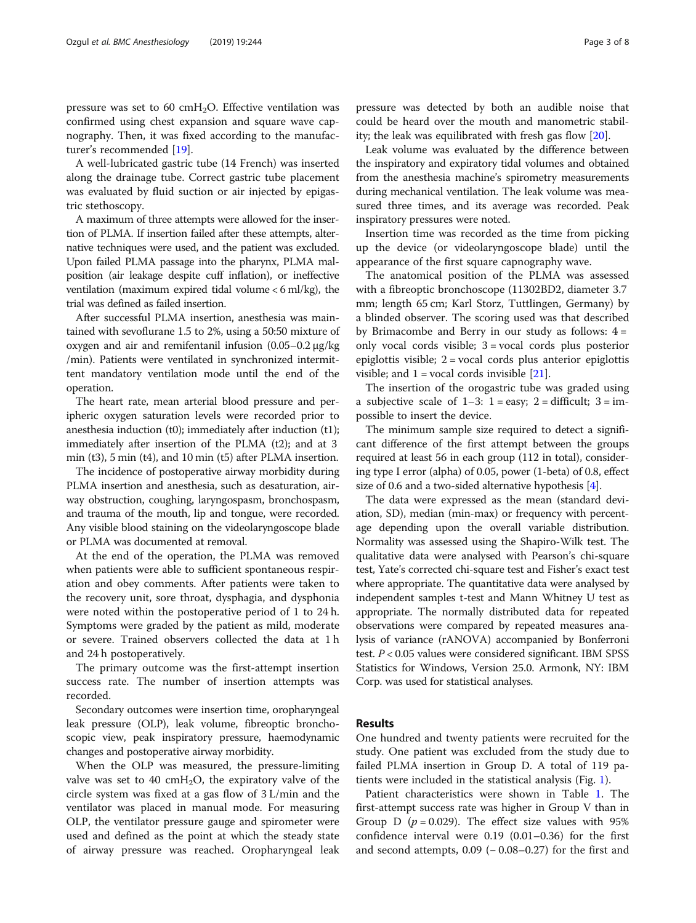pressure was set to 60  $\text{cm}H_2O$ . Effective ventilation was confirmed using chest expansion and square wave capnography. Then, it was fixed according to the manufacturer's recommended [\[19](#page-7-0)].

A well-lubricated gastric tube (14 French) was inserted along the drainage tube. Correct gastric tube placement was evaluated by fluid suction or air injected by epigastric stethoscopy.

A maximum of three attempts were allowed for the insertion of PLMA. If insertion failed after these attempts, alternative techniques were used, and the patient was excluded. Upon failed PLMA passage into the pharynx, PLMA malposition (air leakage despite cuff inflation), or ineffective ventilation (maximum expired tidal volume < 6 ml/kg), the trial was defined as failed insertion.

After successful PLMA insertion, anesthesia was maintained with sevoflurane 1.5 to 2%, using a 50:50 mixture of oxygen and air and remifentanil infusion (0.05–0.2 μg/kg /min). Patients were ventilated in synchronized intermittent mandatory ventilation mode until the end of the operation.

The heart rate, mean arterial blood pressure and peripheric oxygen saturation levels were recorded prior to anesthesia induction (t0); immediately after induction (t1); immediately after insertion of the PLMA (t2); and at 3 min (t3), 5 min (t4), and 10 min (t5) after PLMA insertion.

The incidence of postoperative airway morbidity during PLMA insertion and anesthesia, such as desaturation, airway obstruction, coughing, laryngospasm, bronchospasm, and trauma of the mouth, lip and tongue, were recorded. Any visible blood staining on the videolaryngoscope blade or PLMA was documented at removal.

At the end of the operation, the PLMA was removed when patients were able to sufficient spontaneous respiration and obey comments. After patients were taken to the recovery unit, sore throat, dysphagia, and dysphonia were noted within the postoperative period of 1 to 24 h. Symptoms were graded by the patient as mild, moderate or severe. Trained observers collected the data at 1 h and 24 h postoperatively.

The primary outcome was the first-attempt insertion success rate. The number of insertion attempts was recorded.

Secondary outcomes were insertion time, oropharyngeal leak pressure (OLP), leak volume, fibreoptic bronchoscopic view, peak inspiratory pressure, haemodynamic changes and postoperative airway morbidity.

When the OLP was measured, the pressure-limiting valve was set to 40 cmH<sub>2</sub>O, the expiratory valve of the circle system was fixed at a gas flow of 3 L/min and the ventilator was placed in manual mode. For measuring OLP, the ventilator pressure gauge and spirometer were used and defined as the point at which the steady state of airway pressure was reached. Oropharyngeal leak pressure was detected by both an audible noise that could be heard over the mouth and manometric stability; the leak was equilibrated with fresh gas flow [[20](#page-7-0)].

Leak volume was evaluated by the difference between the inspiratory and expiratory tidal volumes and obtained from the anesthesia machine's spirometry measurements during mechanical ventilation. The leak volume was measured three times, and its average was recorded. Peak inspiratory pressures were noted.

Insertion time was recorded as the time from picking up the device (or videolaryngoscope blade) until the appearance of the first square capnography wave.

The anatomical position of the PLMA was assessed with a fibreoptic bronchoscope (11302BD2, diameter 3.7 mm; length 65 cm; Karl Storz, Tuttlingen, Germany) by a blinded observer. The scoring used was that described by Brimacombe and Berry in our study as follows:  $4 =$ only vocal cords visible; 3 = vocal cords plus posterior epiglottis visible; 2 = vocal cords plus anterior epiglottis visible; and  $1 = \text{vocal cords invisible}$  [\[21](#page-7-0)].

The insertion of the orogastric tube was graded using a subjective scale of  $1-3$ :  $1 = easy$ ;  $2 =$  difficult;  $3 = im$ possible to insert the device.

The minimum sample size required to detect a significant difference of the first attempt between the groups required at least 56 in each group (112 in total), considering type I error (alpha) of 0.05, power (1-beta) of 0.8, effect size of 0.6 and a two-sided alternative hypothesis [\[4\]](#page-6-0).

The data were expressed as the mean (standard deviation, SD), median (min-max) or frequency with percentage depending upon the overall variable distribution. Normality was assessed using the Shapiro-Wilk test. The qualitative data were analysed with Pearson's chi-square test, Yate's corrected chi-square test and Fisher's exact test where appropriate. The quantitative data were analysed by independent samples t-test and Mann Whitney U test as appropriate. The normally distributed data for repeated observations were compared by repeated measures analysis of variance (rANOVA) accompanied by Bonferroni test. P < 0.05 values were considered significant. IBM SPSS Statistics for Windows, Version 25.0. Armonk, NY: IBM Corp. was used for statistical analyses.

#### Results

One hundred and twenty patients were recruited for the study. One patient was excluded from the study due to failed PLMA insertion in Group D. A total of 119 patients were included in the statistical analysis (Fig. [1\)](#page-3-0).

Patient characteristics were shown in Table [1.](#page-3-0) The first-attempt success rate was higher in Group V than in Group D ( $p = 0.029$ ). The effect size values with 95% confidence interval were 0.19 (0.01–0.36) for the first and second attempts,  $0.09$  ( $-0.08-0.27$ ) for the first and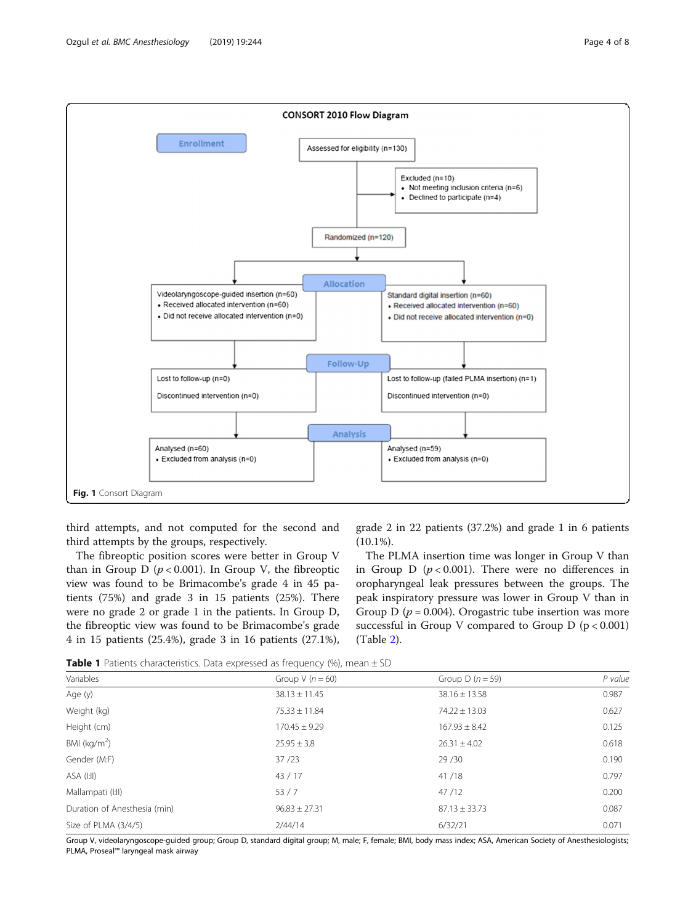<span id="page-3-0"></span>

third attempts, and not computed for the second and third attempts by the groups, respectively.

The fibreoptic position scores were better in Group V than in Group D ( $p < 0.001$ ). In Group V, the fibreoptic view was found to be Brimacombe's grade 4 in 45 patients (75%) and grade 3 in 15 patients (25%). There were no grade 2 or grade 1 in the patients. In Group D, the fibreoptic view was found to be Brimacombe's grade 4 in 15 patients (25.4%), grade 3 in 16 patients (27.1%),

grade 2 in 22 patients (37.2%) and grade 1 in 6 patients  $(10.1\%)$ .

The PLMA insertion time was longer in Group V than in Group D  $(p < 0.001)$ . There were no differences in oropharyngeal leak pressures between the groups. The peak inspiratory pressure was lower in Group V than in Group D ( $p = 0.004$ ). Orogastric tube insertion was more successful in Group V compared to Group  $D$  ( $p < 0.001$ ) (Table [2\)](#page-4-0).

**Table 1** Patients characteristics. Data expressed as frequency (%), mean  $\pm$  SD

| Variables                    | Group V $(n = 60)$ | Group D $(n = 59)$ | P value |  |
|------------------------------|--------------------|--------------------|---------|--|
| Age (y)                      | $38.13 \pm 11.45$  | $38.16 \pm 13.58$  | 0.987   |  |
| Weight (kg)                  | $75.33 \pm 11.84$  | $74.22 \pm 13.03$  | 0.627   |  |
| Height (cm)                  | $170.45 \pm 9.29$  | $167.93 \pm 8.42$  | 0.125   |  |
| BMI ( $kg/m2$ )              | $25.95 \pm 3.8$    | $26.31 \pm 4.02$   | 0.618   |  |
| Gender (M:F)                 | 37/23              | 29/30              | 0.190   |  |
| ASA (I:II)                   | 43/17              | 41/18              | 0.797   |  |
| Mallampati (I:II)            | 53/7               | 47/12              | 0.200   |  |
| Duration of Anesthesia (min) | $96.83 \pm 27.31$  | $87.13 \pm 33.73$  | 0.087   |  |
| Size of PLMA (3/4/5)         | 7/44/14            | 6/32/21            | 0.071   |  |

Group V, videolaryngoscope-guided group; Group D, standard digital group; M, male; F, female; BMI, body mass index; ASA, American Society of Anesthesiologists; PLMA, Proseal™ laryngeal mask airway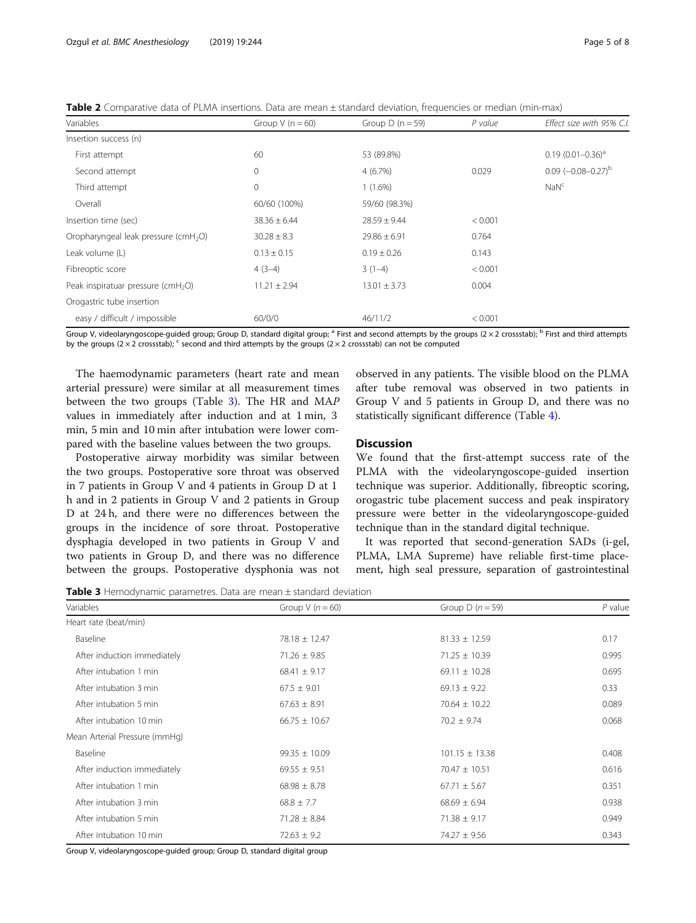<span id="page-4-0"></span>Table 2 Comparative data of PLMA insertions. Data are mean ± standard deviation, frequencies or median (min-max)

| Variables                                        | Group $V(n = 60)$ | Group D ( $n = 59$ ) | P value | Effect size with 95% C.I.   |
|--------------------------------------------------|-------------------|----------------------|---------|-----------------------------|
| Insertion success (n)                            |                   |                      |         |                             |
| First attempt                                    | 60                | 53 (89.8%)           |         | $0.19(0.01 - 0.36)^a$       |
| Second attempt                                   | 0                 | $4(6.7\%)$           | 0.029   | $0.09$ $(-0.08 - 0.27)^{b}$ |
| Third attempt                                    | 0                 | $1(1.6\%)$           |         | NaN <sup>c</sup>            |
| Overall                                          | 60/60 (100%)      | 59/60 (98.3%)        |         |                             |
| Insertion time (sec)                             | $38.36 \pm 6.44$  | $28.59 \pm 9.44$     | < 0.001 |                             |
| Oropharyngeal leak pressure (cmH <sub>2</sub> O) | $30.28 \pm 8.3$   | $29.86 \pm 6.91$     | 0.764   |                             |
| Leak volume (L)                                  | $0.13 \pm 0.15$   | $0.19 \pm 0.26$      | 0.143   |                             |
| Fibreoptic score                                 | $4(3-4)$          | $3(1-4)$             | < 0.001 |                             |
| Peak inspiratuar pressure (cmH <sub>2</sub> O)   | $11.21 \pm 2.94$  | $13.01 \pm 3.73$     | 0.004   |                             |
| Orogastric tube insertion                        |                   |                      |         |                             |
| easy / difficult / impossible                    | 60/0/0            | 46/11/2              | < 0.001 |                             |

Group V, videolaryngoscope-guided group; Group D, standard digital group; <sup>a</sup> First and second attempts by the groups ( $2 \times 2$  crossstab); <sup>b</sup> First and third attempts by the groups ( $2 \times 2$  crossstab); <sup>c</sup> second and third attempts by the groups ( $2 \times 2$  crossstab) can not be computed

The haemodynamic parameters (heart rate and mean arterial pressure) were similar at all measurement times between the two groups (Table 3). The HR and MAP values in immediately after induction and at 1 min, 3 min, 5 min and 10 min after intubation were lower compared with the baseline values between the two groups.

Postoperative airway morbidity was similar between the two groups. Postoperative sore throat was observed in 7 patients in Group V and 4 patients in Group D at 1 h and in 2 patients in Group V and 2 patients in Group D at 24 h, and there were no differences between the groups in the incidence of sore throat. Postoperative dysphagia developed in two patients in Group V and two patients in Group D, and there was no difference between the groups. Postoperative dysphonia was not

observed in any patients. The visible blood on the PLMA after tube removal was observed in two patients in Group V and 5 patients in Group D, and there was no statistically significant difference (Table [4](#page-5-0)).

#### **Discussion**

We found that the first-attempt success rate of the PLMA with the videolaryngoscope-guided insertion technique was superior. Additionally, fibreoptic scoring, orogastric tube placement success and peak inspiratory pressure were better in the videolaryngoscope-guided technique than in the standard digital technique.

It was reported that second-generation SADs (i-gel, PLMA, LMA Supreme) have reliable first-time placement, high seal pressure, separation of gastrointestinal

Table 3 Hemodynamic parametres. Data are mean ± standard deviation

| Variables                     | Group V $(n = 60)$ | Group D $(n = 59)$ | $P$ value |
|-------------------------------|--------------------|--------------------|-----------|
| Heart rate (beat/min)         |                    |                    |           |
| Baseline                      | $78.18 \pm 12.47$  | $81.33 \pm 12.59$  | 0.17      |
| After induction immediately   | $71.26 \pm 9.85$   | $71.25 \pm 10.39$  | 0.995     |
| After intubation 1 min        | $68.41 \pm 9.17$   | 69.11 $\pm$ 10.28  | 0.695     |
| After intubation 3 min        | $67.5 \pm 9.01$    | $69.13 \pm 9.22$   | 0.33      |
| After intubation 5 min        | $67.63 \pm 8.91$   | $70.64 \pm 10.22$  | 0.089     |
| After intubation 10 min       | $66.75 \pm 10.67$  | $70.2 \pm 9.74$    | 0.068     |
| Mean Arterial Pressure (mmHg) |                    |                    |           |
| Baseline                      | $99.35 \pm 10.09$  | $101.15 \pm 13.38$ | 0.408     |
| After induction immediately   | $69.55 \pm 9.51$   | $70.47 \pm 10.51$  | 0.616     |
| After intubation 1 min        | $68.98 \pm 8.78$   | $67.71 \pm 5.67$   | 0.351     |
| After intubation 3 min        | $68.8 \pm 7.7$     | $68.69 \pm 6.94$   | 0.938     |
| After intubation 5 min        | $71.28 \pm 8.84$   | $71.38 \pm 9.17$   | 0.949     |
| After intubation 10 min       | $72.63 \pm 9.2$    | $74.27 \pm 9.56$   | 0.343     |

Group V, videolaryngoscope-guided group; Group D, standard digital group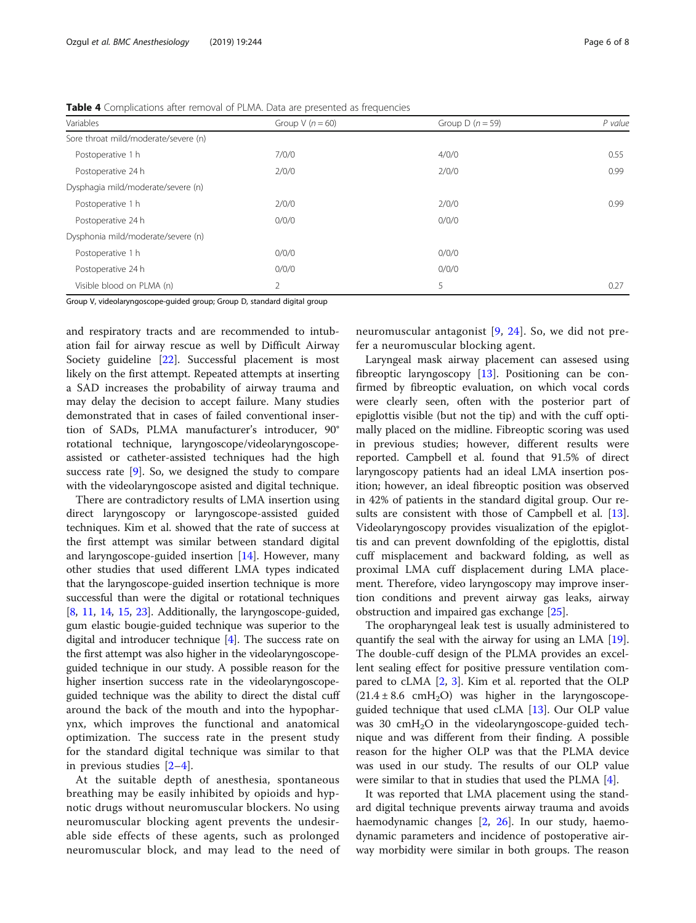| Variables                            | Group $V(n = 60)$ | Group D $(n = 59)$ | P value |
|--------------------------------------|-------------------|--------------------|---------|
| Sore throat mild/moderate/severe (n) |                   |                    |         |
| Postoperative 1 h                    | 7/0/0             | 4/0/0              | 0.55    |
| Postoperative 24 h                   | 2/0/0             | 2/0/0              | 0.99    |
| Dysphagia mild/moderate/severe (n)   |                   |                    |         |
| Postoperative 1 h                    | 2/0/0             | 2/0/0              | 0.99    |
| Postoperative 24 h                   | 0/0/0             | 0/0/0              |         |
| Dysphonia mild/moderate/severe (n)   |                   |                    |         |
| Postoperative 1 h                    | 0/0/0             | 0/0/0              |         |
| Postoperative 24 h                   | 0/0/0             | 0/0/0              |         |
| Visible blood on PLMA (n)            | 2                 | 5                  | 0.27    |

<span id="page-5-0"></span>Table 4 Complications after removal of PLMA. Data are presented as frequencies

Group V, videolaryngoscope-guided group; Group D, standard digital group

and respiratory tracts and are recommended to intubation fail for airway rescue as well by Difficult Airway Society guideline [[22\]](#page-7-0). Successful placement is most likely on the first attempt. Repeated attempts at inserting a SAD increases the probability of airway trauma and may delay the decision to accept failure. Many studies demonstrated that in cases of failed conventional insertion of SADs, PLMA manufacturer's introducer, 90° rotational technique, laryngoscope/videolaryngoscopeassisted or catheter-assisted techniques had the high success rate  $[9]$  $[9]$ . So, we designed the study to compare with the videolaryngoscope asisted and digital technique.

There are contradictory results of LMA insertion using direct laryngoscopy or laryngoscope-assisted guided techniques. Kim et al. showed that the rate of success at the first attempt was similar between standard digital and laryngoscope-guided insertion [[14\]](#page-7-0). However, many other studies that used different LMA types indicated that the laryngoscope-guided insertion technique is more successful than were the digital or rotational techniques [[8,](#page-6-0) [11,](#page-7-0) [14](#page-7-0), [15,](#page-7-0) [23](#page-7-0)]. Additionally, the laryngoscope-guided, gum elastic bougie-guided technique was superior to the digital and introducer technique [\[4\]](#page-6-0). The success rate on the first attempt was also higher in the videolaryngoscopeguided technique in our study. A possible reason for the higher insertion success rate in the videolaryngoscopeguided technique was the ability to direct the distal cuff around the back of the mouth and into the hypopharynx, which improves the functional and anatomical optimization. The success rate in the present study for the standard digital technique was similar to that in previous studies [[2](#page-6-0)–[4](#page-6-0)].

At the suitable depth of anesthesia, spontaneous breathing may be easily inhibited by opioids and hypnotic drugs without neuromuscular blockers. No using neuromuscular blocking agent prevents the undesirable side effects of these agents, such as prolonged neuromuscular block, and may lead to the need of neuromuscular antagonist [\[9,](#page-7-0) [24\]](#page-7-0). So, we did not prefer a neuromuscular blocking agent.

Laryngeal mask airway placement can assesed using fibreoptic laryngoscopy [[13\]](#page-7-0). Positioning can be confirmed by fibreoptic evaluation, on which vocal cords were clearly seen, often with the posterior part of epiglottis visible (but not the tip) and with the cuff optimally placed on the midline. Fibreoptic scoring was used in previous studies; however, different results were reported. Campbell et al. found that 91.5% of direct laryngoscopy patients had an ideal LMA insertion position; however, an ideal fibreoptic position was observed in 42% of patients in the standard digital group. Our re-sults are consistent with those of Campbell et al. [\[13](#page-7-0)]. Videolaryngoscopy provides visualization of the epiglottis and can prevent downfolding of the epiglottis, distal cuff misplacement and backward folding, as well as proximal LMA cuff displacement during LMA placement. Therefore, video laryngoscopy may improve insertion conditions and prevent airway gas leaks, airway obstruction and impaired gas exchange [\[25](#page-7-0)].

The oropharyngeal leak test is usually administered to quantify the seal with the airway for using an LMA [\[19](#page-7-0)]. The double-cuff design of the PLMA provides an excellent sealing effect for positive pressure ventilation compared to cLMA [[2,](#page-6-0) [3](#page-6-0)]. Kim et al. reported that the OLP  $(21.4 \pm 8.6 \text{ cmH}_2\text{O})$  was higher in the laryngoscopeguided technique that used cLMA [\[13](#page-7-0)]. Our OLP value was 30  $\text{cm}H_2\text{O}$  in the videolaryngoscope-guided technique and was different from their finding. A possible reason for the higher OLP was that the PLMA device was used in our study. The results of our OLP value were similar to that in studies that used the PLMA [[4\]](#page-6-0).

It was reported that LMA placement using the standard digital technique prevents airway trauma and avoids haemodynamic changes [[2,](#page-6-0) [26\]](#page-7-0). In our study, haemodynamic parameters and incidence of postoperative airway morbidity were similar in both groups. The reason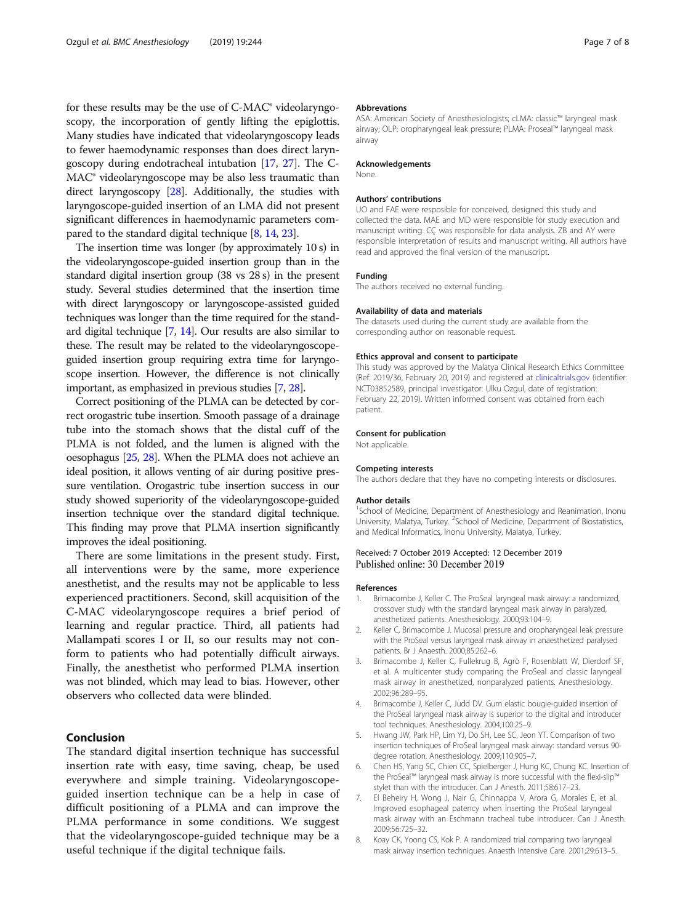<span id="page-6-0"></span>for these results may be the use of C-MAC® videolaryngoscopy, the incorporation of gently lifting the epiglottis. Many studies have indicated that videolaryngoscopy leads to fewer haemodynamic responses than does direct laryngoscopy during endotracheal intubation [\[17](#page-7-0), [27\]](#page-7-0). The C-MAC® videolaryngoscope may be also less traumatic than direct laryngoscopy [\[28](#page-7-0)]. Additionally, the studies with laryngoscope-guided insertion of an LMA did not present significant differences in haemodynamic parameters compared to the standard digital technique [8, [14](#page-7-0), [23\]](#page-7-0).

The insertion time was longer (by approximately 10 s) in the videolaryngoscope-guided insertion group than in the standard digital insertion group (38 vs 28 s) in the present study. Several studies determined that the insertion time with direct laryngoscopy or laryngoscope-assisted guided techniques was longer than the time required for the standard digital technique [7, [14\]](#page-7-0). Our results are also similar to these. The result may be related to the videolaryngoscopeguided insertion group requiring extra time for laryngoscope insertion. However, the difference is not clinically important, as emphasized in previous studies [7, [28\]](#page-7-0).

Correct positioning of the PLMA can be detected by correct orogastric tube insertion. Smooth passage of a drainage tube into the stomach shows that the distal cuff of the PLMA is not folded, and the lumen is aligned with the oesophagus [\[25](#page-7-0), [28\]](#page-7-0). When the PLMA does not achieve an ideal position, it allows venting of air during positive pressure ventilation. Orogastric tube insertion success in our study showed superiority of the videolaryngoscope-guided insertion technique over the standard digital technique. This finding may prove that PLMA insertion significantly improves the ideal positioning.

There are some limitations in the present study. First, all interventions were by the same, more experience anesthetist, and the results may not be applicable to less experienced practitioners. Second, skill acquisition of the C-MAC videolaryngoscope requires a brief period of learning and regular practice. Third, all patients had Mallampati scores I or II, so our results may not conform to patients who had potentially difficult airways. Finally, the anesthetist who performed PLMA insertion was not blinded, which may lead to bias. However, other observers who collected data were blinded.

#### Conclusion

The standard digital insertion technique has successful insertion rate with easy, time saving, cheap, be used everywhere and simple training. Videolaryngoscopeguided insertion technique can be a help in case of difficult positioning of a PLMA and can improve the PLMA performance in some conditions. We suggest that the videolaryngoscope-guided technique may be a useful technique if the digital technique fails.

#### Abbrevations

ASA: American Society of Anesthesiologists; cLMA: classic™ laryngeal mask airway; OLP: oropharyngeal leak pressure; PLMA: Proseal™ laryngeal mask airway

#### Acknowledgements

None.

#### Authors' contributions

UO and FAE were resposible for conceived, designed this study and collected the data. MAE and MD were responsible for study execution and manuscript writing. CÇ was responsible for data analysis. ZB and AY were responsible interpretation of results and manuscript writing. All authors have read and approved the final version of the manuscript.

#### Funding

The authors received no external funding.

#### Availability of data and materials

The datasets used during the current study are available from the corresponding author on reasonable request.

#### Ethics approval and consent to participate

This study was approved by the Malatya Clinical Research Ethics Committee (Ref: 2019/36, February 20, 2019) and registered at [clinicaltrials.gov](http://clinicaltrials.gov) (identifier: NCT03852589, principal investigator: Ulku Ozgul, date of registration: February 22, 2019). Written informed consent was obtained from each patient.

#### Consent for publication

Not applicable.

#### Competing interests

The authors declare that they have no competing interests or disclosures.

#### Author details

<sup>1</sup>School of Medicine, Department of Anesthesiology and Reanimation, Inonu University, Malatya, Turkey. <sup>2</sup>School of Medicine, Department of Biostatistics, and Medical Informatics, Inonu University, Malatya, Turkey.

#### Received: 7 October 2019 Accepted: 12 December 2019 Published online: 30 December 2019

#### References

- 1. Brimacombe J, Keller C. The ProSeal laryngeal mask airway: a randomized, crossover study with the standard laryngeal mask airway in paralyzed, anesthetized patients. Anesthesiology. 2000;93:104–9.
- 2. Keller C, Brimacombe J. Mucosal pressure and oropharyngeal leak pressure with the ProSeal versus laryngeal mask airway in anaesthetized paralysed patients. Br J Anaesth. 2000;85:262–6.
- Brimacombe J, Keller C, Fullekrug B, Agrò F, Rosenblatt W, Dierdorf SF, et al. A multicenter study comparing the ProSeal and classic laryngeal mask airway in anesthetized, nonparalyzed patients. Anesthesiology. 2002;96:289–95.
- 4. Brimacombe J, Keller C, Judd DV. Gum elastic bougie-guided insertion of the ProSeal laryngeal mask airway is superior to the digital and introducer tool techniques. Anesthesiology. 2004;100:25–9.
- 5. Hwang JW, Park HP, Lim YJ, Do SH, Lee SC, Jeon YT. Comparison of two insertion techniques of ProSeal laryngeal mask airway: standard versus 90 degree rotation. Anesthesiology. 2009;110:905–7.
- 6. Chen HS, Yang SC, Chien CC, Spielberger J, Hung KC, Chung KC. Insertion of the ProSeal™ laryngeal mask airway is more successful with the flexi-slip™ stylet than with the introducer. Can J Anesth. 2011;58:617–23.
- 7. El Beheiry H, Wong J, Nair G, Chinnappa V, Arora G, Morales E, et al. Improved esophageal patency when inserting the ProSeal laryngeal mask airway with an Eschmann tracheal tube introducer. Can J Anesth. 2009;56:725–32.
- 8. Koay CK, Yoong CS, Kok P. A randomized trial comparing two laryngeal mask airway insertion techniques. Anaesth Intensive Care. 2001;29:613–5.